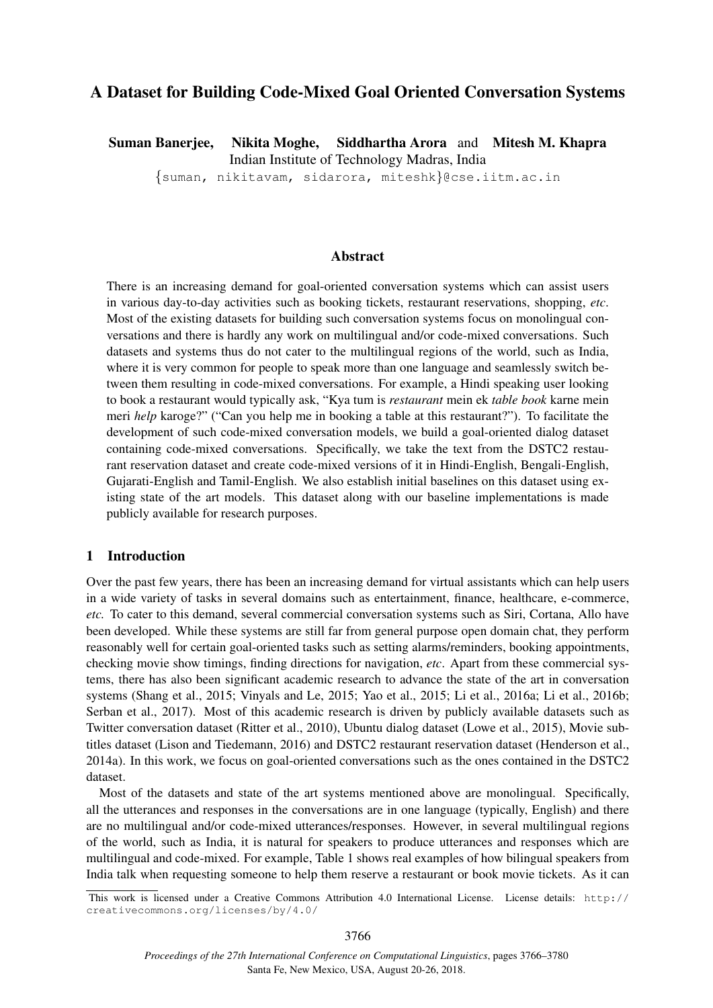# A Dataset for Building Code-Mixed Goal Oriented Conversation Systems

Suman Banerjee, Nikita Moghe, Siddhartha Arora and Mitesh M. Khapra Indian Institute of Technology Madras, India {suman, nikitavam, sidarora, miteshk}@cse.iitm.ac.in

## Abstract

There is an increasing demand for goal-oriented conversation systems which can assist users in various day-to-day activities such as booking tickets, restaurant reservations, shopping, *etc*. Most of the existing datasets for building such conversation systems focus on monolingual conversations and there is hardly any work on multilingual and/or code-mixed conversations. Such datasets and systems thus do not cater to the multilingual regions of the world, such as India, where it is very common for people to speak more than one language and seamlessly switch between them resulting in code-mixed conversations. For example, a Hindi speaking user looking to book a restaurant would typically ask, "Kya tum is *restaurant* mein ek *table book* karne mein meri *help* karoge?" ("Can you help me in booking a table at this restaurant?"). To facilitate the development of such code-mixed conversation models, we build a goal-oriented dialog dataset containing code-mixed conversations. Specifically, we take the text from the DSTC2 restaurant reservation dataset and create code-mixed versions of it in Hindi-English, Bengali-English, Gujarati-English and Tamil-English. We also establish initial baselines on this dataset using existing state of the art models. This dataset along with our baseline implementations is made publicly available for research purposes.

## 1 Introduction

Over the past few years, there has been an increasing demand for virtual assistants which can help users in a wide variety of tasks in several domains such as entertainment, finance, healthcare, e-commerce, *etc.* To cater to this demand, several commercial conversation systems such as Siri, Cortana, Allo have been developed. While these systems are still far from general purpose open domain chat, they perform reasonably well for certain goal-oriented tasks such as setting alarms/reminders, booking appointments, checking movie show timings, finding directions for navigation, *etc*. Apart from these commercial systems, there has also been significant academic research to advance the state of the art in conversation systems (Shang et al., 2015; Vinyals and Le, 2015; Yao et al., 2015; Li et al., 2016a; Li et al., 2016b; Serban et al., 2017). Most of this academic research is driven by publicly available datasets such as Twitter conversation dataset (Ritter et al., 2010), Ubuntu dialog dataset (Lowe et al., 2015), Movie subtitles dataset (Lison and Tiedemann, 2016) and DSTC2 restaurant reservation dataset (Henderson et al., 2014a). In this work, we focus on goal-oriented conversations such as the ones contained in the DSTC2 dataset.

Most of the datasets and state of the art systems mentioned above are monolingual. Specifically, all the utterances and responses in the conversations are in one language (typically, English) and there are no multilingual and/or code-mixed utterances/responses. However, in several multilingual regions of the world, such as India, it is natural for speakers to produce utterances and responses which are multilingual and code-mixed. For example, Table 1 shows real examples of how bilingual speakers from India talk when requesting someone to help them reserve a restaurant or book movie tickets. As it can

This work is licensed under a Creative Commons Attribution 4.0 International License. License details: http:// creativecommons.org/licenses/by/4.0/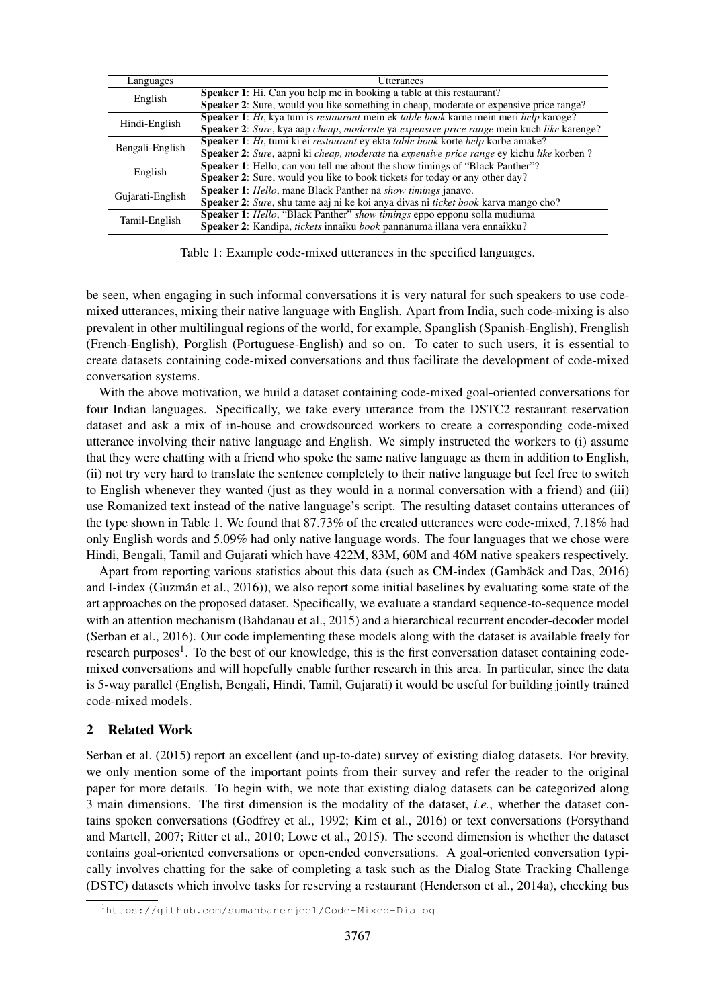| Languages        | <b>Utterances</b>                                                                                |
|------------------|--------------------------------------------------------------------------------------------------|
|                  | <b>Speaker 1:</b> Hi, Can you help me in booking a table at this restaurant?                     |
| English          | <b>Speaker 2:</b> Sure, would you like something in cheap, moderate or expensive price range?    |
|                  | Speaker 1: Hi, kya tum is restaurant mein ek table book karne mein meri help karoge?             |
| Hindi-English    | <b>Speaker 2:</b> Sure, kya aap cheap, moderate ya expensive price range mein kuch like karenge? |
|                  | Speaker 1: Hi, tumi ki ei restaurant ey ekta table book korte help korbe amake?                  |
| Bengali-English  | Speaker 2: Sure, aapni ki cheap, moderate na expensive price range ey kichu like korben?         |
| English          | <b>Speaker 1:</b> Hello, can you tell me about the show timings of "Black Panther"?              |
|                  | <b>Speaker 2:</b> Sure, would you like to book tickets for today or any other day?               |
|                  | <b>Speaker 1:</b> Hello, mane Black Panther na <i>show timings</i> janavo.                       |
| Gujarati-English | Speaker 2: Sure, shu tame aaj ni ke koi anya divas ni <i>ticket book</i> karva mango cho?        |
|                  | Speaker 1: Hello, "Black Panther" show timings eppo epponu solla mudiuma                         |
| Tamil-English    | Speaker 2: Kandipa, tickets innaiku book pannanuma illana vera ennaikku?                         |

Table 1: Example code-mixed utterances in the specified languages.

be seen, when engaging in such informal conversations it is very natural for such speakers to use codemixed utterances, mixing their native language with English. Apart from India, such code-mixing is also prevalent in other multilingual regions of the world, for example, Spanglish (Spanish-English), Frenglish (French-English), Porglish (Portuguese-English) and so on. To cater to such users, it is essential to create datasets containing code-mixed conversations and thus facilitate the development of code-mixed conversation systems.

With the above motivation, we build a dataset containing code-mixed goal-oriented conversations for four Indian languages. Specifically, we take every utterance from the DSTC2 restaurant reservation dataset and ask a mix of in-house and crowdsourced workers to create a corresponding code-mixed utterance involving their native language and English. We simply instructed the workers to (i) assume that they were chatting with a friend who spoke the same native language as them in addition to English, (ii) not try very hard to translate the sentence completely to their native language but feel free to switch to English whenever they wanted (just as they would in a normal conversation with a friend) and (iii) use Romanized text instead of the native language's script. The resulting dataset contains utterances of the type shown in Table 1. We found that 87.73% of the created utterances were code-mixed, 7.18% had only English words and 5.09% had only native language words. The four languages that we chose were Hindi, Bengali, Tamil and Gujarati which have 422M, 83M, 60M and 46M native speakers respectively.

Apart from reporting various statistics about this data (such as CM-index (Gambäck and Das, 2016) and I-index (Guzmán et al., 2016)), we also report some initial baselines by evaluating some state of the art approaches on the proposed dataset. Specifically, we evaluate a standard sequence-to-sequence model with an attention mechanism (Bahdanau et al., 2015) and a hierarchical recurrent encoder-decoder model (Serban et al., 2016). Our code implementing these models along with the dataset is available freely for research purposes<sup>1</sup>. To the best of our knowledge, this is the first conversation dataset containing codemixed conversations and will hopefully enable further research in this area. In particular, since the data is 5-way parallel (English, Bengali, Hindi, Tamil, Gujarati) it would be useful for building jointly trained code-mixed models.

## 2 Related Work

Serban et al. (2015) report an excellent (and up-to-date) survey of existing dialog datasets. For brevity, we only mention some of the important points from their survey and refer the reader to the original paper for more details. To begin with, we note that existing dialog datasets can be categorized along 3 main dimensions. The first dimension is the modality of the dataset, *i.e.*, whether the dataset contains spoken conversations (Godfrey et al., 1992; Kim et al., 2016) or text conversations (Forsythand and Martell, 2007; Ritter et al., 2010; Lowe et al., 2015). The second dimension is whether the dataset contains goal-oriented conversations or open-ended conversations. A goal-oriented conversation typically involves chatting for the sake of completing a task such as the Dialog State Tracking Challenge (DSTC) datasets which involve tasks for reserving a restaurant (Henderson et al., 2014a), checking bus

<sup>1</sup>https://github.com/sumanbanerjee1/Code-Mixed-Dialog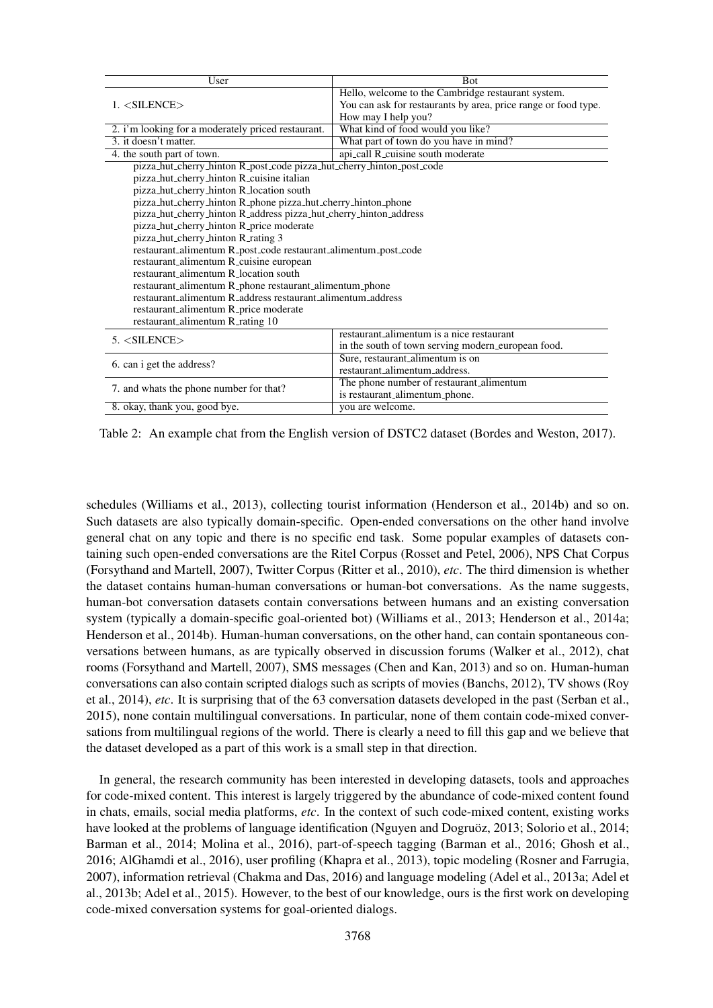| User                                                                  | <b>Bot</b>                                                     |  |  |  |  |
|-----------------------------------------------------------------------|----------------------------------------------------------------|--|--|--|--|
|                                                                       | Hello, welcome to the Cambridge restaurant system.             |  |  |  |  |
| $1. <$ SILENCE $>$                                                    | You can ask for restaurants by area, price range or food type. |  |  |  |  |
|                                                                       | How may I help you?                                            |  |  |  |  |
| 2. i'm looking for a moderately priced restaurant.                    | What kind of food would you like?                              |  |  |  |  |
| 3. it doesn't matter.<br>What part of town do you have in mind?       |                                                                |  |  |  |  |
| 4. the south part of town.                                            | api_call R_cuisine south moderate                              |  |  |  |  |
| pizza_hut_cherry_hinton R_post_code pizza_hut_cherry_hinton_post_code |                                                                |  |  |  |  |
| pizza_hut_cherry_hinton R_cuisine italian                             |                                                                |  |  |  |  |
| pizza_hut_cherry_hinton R_location south                              |                                                                |  |  |  |  |
| pizza_hut_cherry_hinton R_phone pizza_hut_cherry_hinton_phone         |                                                                |  |  |  |  |
| pizza_hut_cherry_hinton R_address pizza_hut_cherry_hinton_address     |                                                                |  |  |  |  |
| pizza_hut_cherry_hinton R_price moderate                              |                                                                |  |  |  |  |
| pizza_hut_cherry_hinton R_rating 3                                    |                                                                |  |  |  |  |
| restaurant_alimentum R_post_code restaurant_alimentum_post_code       |                                                                |  |  |  |  |
| restaurant_alimentum R_cuisine european                               |                                                                |  |  |  |  |
| restaurant alimentum R location south                                 |                                                                |  |  |  |  |
| restaurant_alimentum R_phone restaurant_alimentum_phone               |                                                                |  |  |  |  |
| restaurant alimentum R address restaurant alimentum address           |                                                                |  |  |  |  |
| restaurant_alimentum R_price moderate                                 |                                                                |  |  |  |  |
| restaurant_alimentum R_rating 10                                      |                                                                |  |  |  |  |
|                                                                       | restaurant alimentum is a nice restaurant                      |  |  |  |  |
| 5. < SILENCE                                                          | in the south of town serving modern_european food.             |  |  |  |  |
| 6. can i get the address?                                             | Sure, restaurant_alimentum is on                               |  |  |  |  |
|                                                                       | restaurant_alimentum_address.                                  |  |  |  |  |
|                                                                       | The phone number of restaurant_alimentum                       |  |  |  |  |
| 7. and whats the phone number for that?                               | is restaurant_alimentum_phone.                                 |  |  |  |  |
| 8. okay, thank you, good bye.                                         | you are welcome.                                               |  |  |  |  |

Table 2: An example chat from the English version of DSTC2 dataset (Bordes and Weston, 2017).

schedules (Williams et al., 2013), collecting tourist information (Henderson et al., 2014b) and so on. Such datasets are also typically domain-specific. Open-ended conversations on the other hand involve general chat on any topic and there is no specific end task. Some popular examples of datasets containing such open-ended conversations are the Ritel Corpus (Rosset and Petel, 2006), NPS Chat Corpus (Forsythand and Martell, 2007), Twitter Corpus (Ritter et al., 2010), *etc*. The third dimension is whether the dataset contains human-human conversations or human-bot conversations. As the name suggests, human-bot conversation datasets contain conversations between humans and an existing conversation system (typically a domain-specific goal-oriented bot) (Williams et al., 2013; Henderson et al., 2014a; Henderson et al., 2014b). Human-human conversations, on the other hand, can contain spontaneous conversations between humans, as are typically observed in discussion forums (Walker et al., 2012), chat rooms (Forsythand and Martell, 2007), SMS messages (Chen and Kan, 2013) and so on. Human-human conversations can also contain scripted dialogs such as scripts of movies (Banchs, 2012), TV shows (Roy et al., 2014), *etc*. It is surprising that of the 63 conversation datasets developed in the past (Serban et al., 2015), none contain multilingual conversations. In particular, none of them contain code-mixed conversations from multilingual regions of the world. There is clearly a need to fill this gap and we believe that the dataset developed as a part of this work is a small step in that direction.

In general, the research community has been interested in developing datasets, tools and approaches for code-mixed content. This interest is largely triggered by the abundance of code-mixed content found in chats, emails, social media platforms, *etc*. In the context of such code-mixed content, existing works have looked at the problems of language identification (Nguyen and Dogruöz, 2013; Solorio et al., 2014; Barman et al., 2014; Molina et al., 2016), part-of-speech tagging (Barman et al., 2016; Ghosh et al., 2016; AlGhamdi et al., 2016), user profiling (Khapra et al., 2013), topic modeling (Rosner and Farrugia, 2007), information retrieval (Chakma and Das, 2016) and language modeling (Adel et al., 2013a; Adel et al., 2013b; Adel et al., 2015). However, to the best of our knowledge, ours is the first work on developing code-mixed conversation systems for goal-oriented dialogs.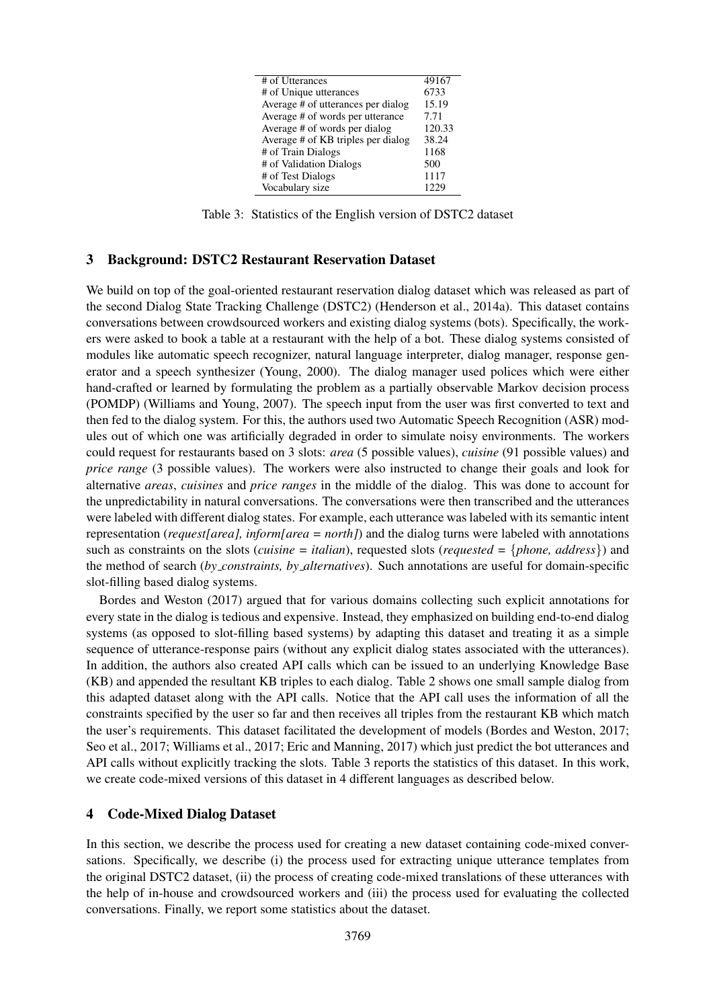| # of Utterances                    | 49167  |
|------------------------------------|--------|
| # of Unique utterances             | 6733   |
| Average # of utterances per dialog | 15.19  |
| Average # of words per utterance   | 7.71   |
| Average # of words per dialog      | 120.33 |
| Average # of KB triples per dialog | 38.24  |
| # of Train Dialogs                 | 1168   |
| # of Validation Dialogs            | 500    |
| # of Test Dialogs                  | 1117   |
| Vocabulary size                    |        |

Table 3: Statistics of the English version of DSTC2 dataset

## 3 Background: DSTC2 Restaurant Reservation Dataset

We build on top of the goal-oriented restaurant reservation dialog dataset which was released as part of the second Dialog State Tracking Challenge (DSTC2) (Henderson et al., 2014a). This dataset contains conversations between crowdsourced workers and existing dialog systems (bots). Specifically, the workers were asked to book a table at a restaurant with the help of a bot. These dialog systems consisted of modules like automatic speech recognizer, natural language interpreter, dialog manager, response generator and a speech synthesizer (Young, 2000). The dialog manager used polices which were either hand-crafted or learned by formulating the problem as a partially observable Markov decision process (POMDP) (Williams and Young, 2007). The speech input from the user was first converted to text and then fed to the dialog system. For this, the authors used two Automatic Speech Recognition (ASR) modules out of which one was artificially degraded in order to simulate noisy environments. The workers could request for restaurants based on 3 slots: *area* (5 possible values), *cuisine* (91 possible values) and *price range* (3 possible values). The workers were also instructed to change their goals and look for alternative *areas*, *cuisines* and *price ranges* in the middle of the dialog. This was done to account for the unpredictability in natural conversations. The conversations were then transcribed and the utterances were labeled with different dialog states. For example, each utterance was labeled with its semantic intent representation (*request[area], inform[area = north]*) and the dialog turns were labeled with annotations such as constraints on the slots (*cuisine = italian*), requested slots (*requested =* {*phone, address*}) and the method of search (*by constraints, by alternatives*). Such annotations are useful for domain-specific slot-filling based dialog systems.

Bordes and Weston (2017) argued that for various domains collecting such explicit annotations for every state in the dialog is tedious and expensive. Instead, they emphasized on building end-to-end dialog systems (as opposed to slot-filling based systems) by adapting this dataset and treating it as a simple sequence of utterance-response pairs (without any explicit dialog states associated with the utterances). In addition, the authors also created API calls which can be issued to an underlying Knowledge Base (KB) and appended the resultant KB triples to each dialog. Table 2 shows one small sample dialog from this adapted dataset along with the API calls. Notice that the API call uses the information of all the constraints specified by the user so far and then receives all triples from the restaurant KB which match the user's requirements. This dataset facilitated the development of models (Bordes and Weston, 2017; Seo et al., 2017; Williams et al., 2017; Eric and Manning, 2017) which just predict the bot utterances and API calls without explicitly tracking the slots. Table 3 reports the statistics of this dataset. In this work, we create code-mixed versions of this dataset in 4 different languages as described below.

## 4 Code-Mixed Dialog Dataset

In this section, we describe the process used for creating a new dataset containing code-mixed conversations. Specifically, we describe (i) the process used for extracting unique utterance templates from the original DSTC2 dataset, (ii) the process of creating code-mixed translations of these utterances with the help of in-house and crowdsourced workers and (iii) the process used for evaluating the collected conversations. Finally, we report some statistics about the dataset.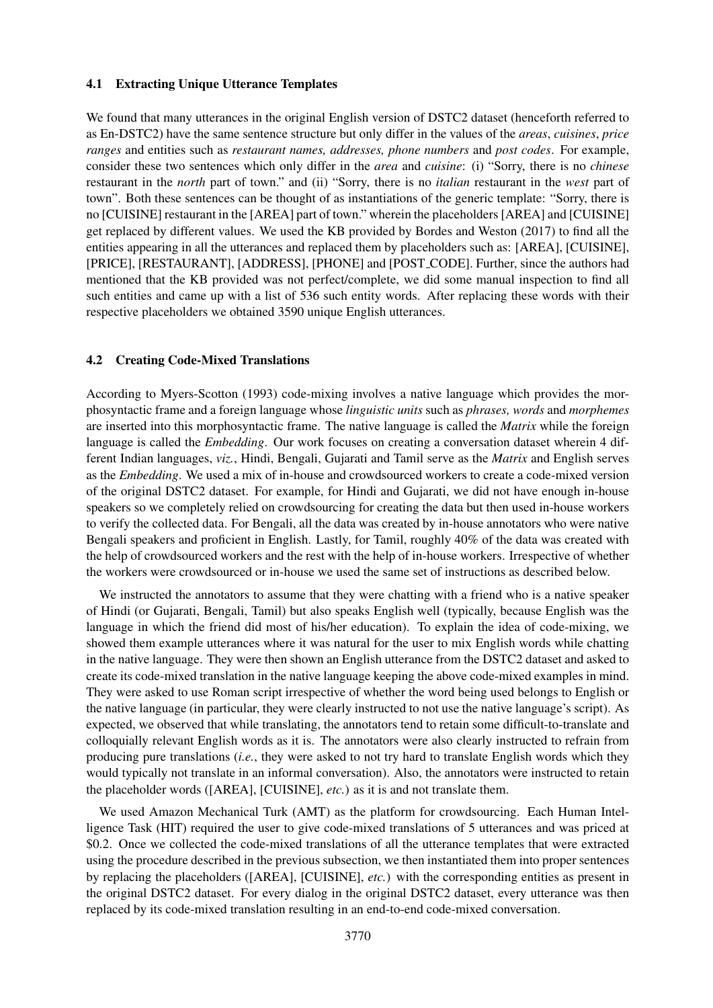#### 4.1 Extracting Unique Utterance Templates

We found that many utterances in the original English version of DSTC2 dataset (henceforth referred to as En-DSTC2) have the same sentence structure but only differ in the values of the *areas*, *cuisines*, *price ranges* and entities such as *restaurant names, addresses, phone numbers* and *post codes*. For example, consider these two sentences which only differ in the *area* and *cuisine*: (i) "Sorry, there is no *chinese* restaurant in the *north* part of town." and (ii) "Sorry, there is no *italian* restaurant in the *west* part of town". Both these sentences can be thought of as instantiations of the generic template: "Sorry, there is no [CUISINE] restaurant in the [AREA] part of town." wherein the placeholders [AREA] and [CUISINE] get replaced by different values. We used the KB provided by Bordes and Weston (2017) to find all the entities appearing in all the utterances and replaced them by placeholders such as: [AREA], [CUISINE], [PRICE], [RESTAURANT], [ADDRESS], [PHONE] and [POST CODE]. Further, since the authors had mentioned that the KB provided was not perfect/complete, we did some manual inspection to find all such entities and came up with a list of 536 such entity words. After replacing these words with their respective placeholders we obtained 3590 unique English utterances.

### 4.2 Creating Code-Mixed Translations

According to Myers-Scotton (1993) code-mixing involves a native language which provides the morphosyntactic frame and a foreign language whose *linguistic units* such as *phrases, words* and *morphemes* are inserted into this morphosyntactic frame. The native language is called the *Matrix* while the foreign language is called the *Embedding*. Our work focuses on creating a conversation dataset wherein 4 different Indian languages, *viz.*, Hindi, Bengali, Gujarati and Tamil serve as the *Matrix* and English serves as the *Embedding*. We used a mix of in-house and crowdsourced workers to create a code-mixed version of the original DSTC2 dataset. For example, for Hindi and Gujarati, we did not have enough in-house speakers so we completely relied on crowdsourcing for creating the data but then used in-house workers to verify the collected data. For Bengali, all the data was created by in-house annotators who were native Bengali speakers and proficient in English. Lastly, for Tamil, roughly 40% of the data was created with the help of crowdsourced workers and the rest with the help of in-house workers. Irrespective of whether the workers were crowdsourced or in-house we used the same set of instructions as described below.

We instructed the annotators to assume that they were chatting with a friend who is a native speaker of Hindi (or Gujarati, Bengali, Tamil) but also speaks English well (typically, because English was the language in which the friend did most of his/her education). To explain the idea of code-mixing, we showed them example utterances where it was natural for the user to mix English words while chatting in the native language. They were then shown an English utterance from the DSTC2 dataset and asked to create its code-mixed translation in the native language keeping the above code-mixed examples in mind. They were asked to use Roman script irrespective of whether the word being used belongs to English or the native language (in particular, they were clearly instructed to not use the native language's script). As expected, we observed that while translating, the annotators tend to retain some difficult-to-translate and colloquially relevant English words as it is. The annotators were also clearly instructed to refrain from producing pure translations (*i.e.*, they were asked to not try hard to translate English words which they would typically not translate in an informal conversation). Also, the annotators were instructed to retain the placeholder words ([AREA], [CUISINE], *etc.*) as it is and not translate them.

We used Amazon Mechanical Turk (AMT) as the platform for crowdsourcing. Each Human Intelligence Task (HIT) required the user to give code-mixed translations of 5 utterances and was priced at \$0.2. Once we collected the code-mixed translations of all the utterance templates that were extracted using the procedure described in the previous subsection, we then instantiated them into proper sentences by replacing the placeholders ([AREA], [CUISINE], *etc.*) with the corresponding entities as present in the original DSTC2 dataset. For every dialog in the original DSTC2 dataset, every utterance was then replaced by its code-mixed translation resulting in an end-to-end code-mixed conversation.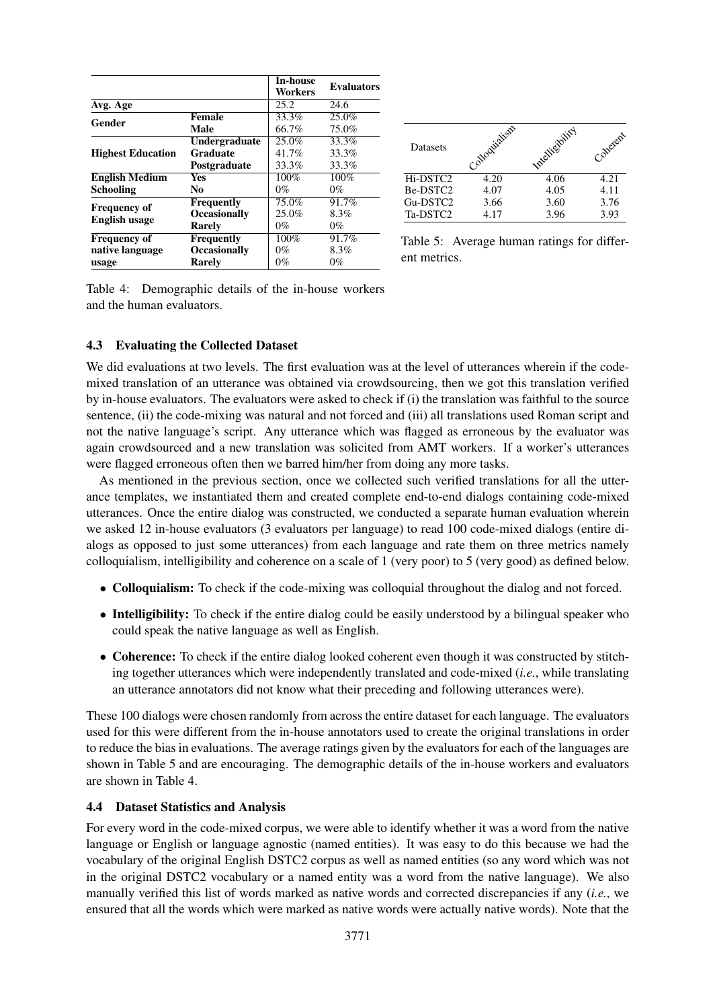|                                             |                     | <b>In-house</b><br>Workers | <b>Evaluators</b> |
|---------------------------------------------|---------------------|----------------------------|-------------------|
| Avg. Age                                    |                     | 25.2                       | 24.6              |
| Gender                                      | <b>Female</b>       | 33.3%                      | 25.0%             |
|                                             | Male                | 66.7%                      | 75.0%             |
|                                             | Undergraduate       | 25.0%                      | 33.3%             |
| <b>Highest Education</b>                    | Graduate            | 41.7%                      | 33.3%             |
|                                             | Postgraduate        | 33.3%                      | 33.3%             |
| <b>English Medium</b>                       | <b>Yes</b>          | 100%                       | 100%              |
| <b>Schooling</b>                            | N <sub>0</sub>      | $0\%$                      | $0\%$             |
|                                             | Frequently          | 75.0%                      | 91.7%             |
| <b>Frequency of</b><br><b>English usage</b> | <b>Occasionally</b> | 25.0%                      | 8.3%              |
|                                             | <b>Rarely</b>       | $0\%$                      | $0\%$             |
| <b>Frequency of</b>                         | Frequently          | 100%                       | 91.7%             |
| native language                             | <b>Occasionally</b> | $0\%$                      | 8.3%              |
| usage                                       | <b>Rarely</b>       | $0\%$                      | $0\%$             |

| <b>Datasets</b> | olloquialism | Intelligibility | Conerent |
|-----------------|--------------|-----------------|----------|
| Hi-DSTC2        | 4.20         | 4.06            | 4.21     |
| Be-DSTC2        | 4.07         | 4.05            | 4.11     |
| Gu-DSTC2        | 3.66         | 3.60            | 3.76     |
| Ta-DSTC2        | 4.17         | 3.96            | 3.93     |

Table 5: Average human ratings for different metrics.

Table 4: Demographic details of the in-house workers and the human evaluators.

## 4.3 Evaluating the Collected Dataset

We did evaluations at two levels. The first evaluation was at the level of utterances wherein if the codemixed translation of an utterance was obtained via crowdsourcing, then we got this translation verified by in-house evaluators. The evaluators were asked to check if (i) the translation was faithful to the source sentence, (ii) the code-mixing was natural and not forced and (iii) all translations used Roman script and not the native language's script. Any utterance which was flagged as erroneous by the evaluator was again crowdsourced and a new translation was solicited from AMT workers. If a worker's utterances were flagged erroneous often then we barred him/her from doing any more tasks.

As mentioned in the previous section, once we collected such verified translations for all the utterance templates, we instantiated them and created complete end-to-end dialogs containing code-mixed utterances. Once the entire dialog was constructed, we conducted a separate human evaluation wherein we asked 12 in-house evaluators (3 evaluators per language) to read 100 code-mixed dialogs (entire dialogs as opposed to just some utterances) from each language and rate them on three metrics namely colloquialism, intelligibility and coherence on a scale of 1 (very poor) to 5 (very good) as defined below.

- Colloquialism: To check if the code-mixing was colloquial throughout the dialog and not forced.
- Intelligibility: To check if the entire dialog could be easily understood by a bilingual speaker who could speak the native language as well as English.
- Coherence: To check if the entire dialog looked coherent even though it was constructed by stitching together utterances which were independently translated and code-mixed (*i.e.*, while translating an utterance annotators did not know what their preceding and following utterances were).

These 100 dialogs were chosen randomly from across the entire dataset for each language. The evaluators used for this were different from the in-house annotators used to create the original translations in order to reduce the bias in evaluations. The average ratings given by the evaluators for each of the languages are shown in Table 5 and are encouraging. The demographic details of the in-house workers and evaluators are shown in Table 4.

## 4.4 Dataset Statistics and Analysis

For every word in the code-mixed corpus, we were able to identify whether it was a word from the native language or English or language agnostic (named entities). It was easy to do this because we had the vocabulary of the original English DSTC2 corpus as well as named entities (so any word which was not in the original DSTC2 vocabulary or a named entity was a word from the native language). We also manually verified this list of words marked as native words and corrected discrepancies if any (*i.e.*, we ensured that all the words which were marked as native words were actually native words). Note that the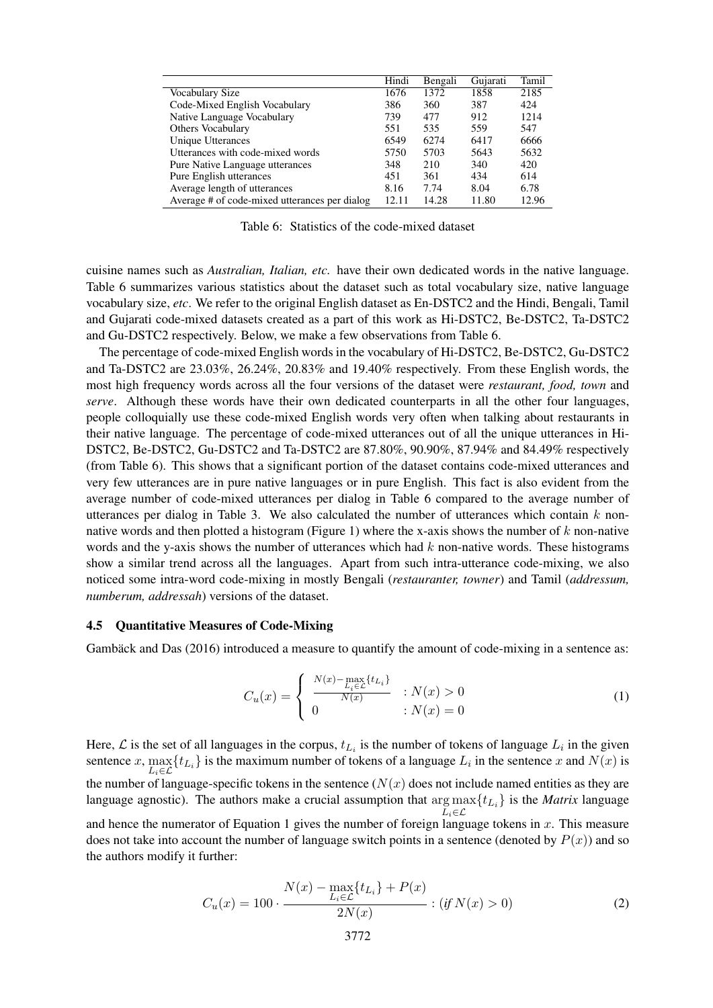|                                               | Hindi | Bengali | Gujarati | Tamil |
|-----------------------------------------------|-------|---------|----------|-------|
| Vocabulary Size                               | 1676  | 1372    | 1858     | 2185  |
| Code-Mixed English Vocabulary                 | 386   | 360     | 387      | 424   |
| Native Language Vocabulary                    | 739   | 477     | 912      | 1214  |
| <b>Others Vocabulary</b>                      | 551   | 535     | 559      | 547   |
| <b>Unique Utterances</b>                      | 6549  | 6274    | 6417     | 6666  |
| Utterances with code-mixed words              | 5750  | 5703    | 5643     | 5632  |
| Pure Native Language utterances               | 348   | 210     | 340      | 420   |
| Pure English utterances                       | 451   | 361     | 434      | 614   |
| Average length of utterances                  | 8.16  | 7.74    | 8.04     | 6.78  |
| Average # of code-mixed utterances per dialog | 12.11 | 14.28   | 11.80    | 12.96 |

Table 6: Statistics of the code-mixed dataset

cuisine names such as *Australian, Italian, etc.* have their own dedicated words in the native language. Table 6 summarizes various statistics about the dataset such as total vocabulary size, native language vocabulary size, *etc*. We refer to the original English dataset as En-DSTC2 and the Hindi, Bengali, Tamil and Gujarati code-mixed datasets created as a part of this work as Hi-DSTC2, Be-DSTC2, Ta-DSTC2 and Gu-DSTC2 respectively. Below, we make a few observations from Table 6.

The percentage of code-mixed English words in the vocabulary of Hi-DSTC2, Be-DSTC2, Gu-DSTC2 and Ta-DSTC2 are 23.03%, 26.24%, 20.83% and 19.40% respectively. From these English words, the most high frequency words across all the four versions of the dataset were *restaurant, food, town* and *serve*. Although these words have their own dedicated counterparts in all the other four languages, people colloquially use these code-mixed English words very often when talking about restaurants in their native language. The percentage of code-mixed utterances out of all the unique utterances in Hi-DSTC2, Be-DSTC2, Gu-DSTC2 and Ta-DSTC2 are 87.80%, 90.90%, 87.94% and 84.49% respectively (from Table 6). This shows that a significant portion of the dataset contains code-mixed utterances and very few utterances are in pure native languages or in pure English. This fact is also evident from the average number of code-mixed utterances per dialog in Table 6 compared to the average number of utterances per dialog in Table 3. We also calculated the number of utterances which contain  $k$  nonnative words and then plotted a histogram (Figure 1) where the x-axis shows the number of k non-native words and the y-axis shows the number of utterances which had  $k$  non-native words. These histograms show a similar trend across all the languages. Apart from such intra-utterance code-mixing, we also noticed some intra-word code-mixing in mostly Bengali (*restauranter, towner*) and Tamil (*addressum, numberum, addressah*) versions of the dataset.

#### 4.5 Quantitative Measures of Code-Mixing

Gambäck and Das (2016) introduced a measure to quantify the amount of code-mixing in a sentence as:

$$
C_u(x) = \begin{cases} \frac{N(x) - \max\limits_{L_i \in \mathcal{L}} \{t_{L_i}\}}{N(x)} & \text{: } N(x) > 0\\ 0 & \text{: } N(x) = 0 \end{cases}
$$
(1)

Here,  $\mathcal L$  is the set of all languages in the corpus,  $t_{L_i}$  is the number of tokens of language  $L_i$  in the given sentence x,  $\max_{L_i \in \mathcal{L}} \{t_{L_i}\}$  is the maximum number of tokens of a language  $L_i$  in the sentence x and  $N(x)$  is the number of language-specific tokens in the sentence  $(N(x))$  does not include named entities as they are language agnostic). The authors make a crucial assumption that arg max  $\max_{L_i \in \mathcal{L}} \{t_{L_i}\}$  is the *Matrix* language and hence the numerator of Equation 1 gives the number of foreign language tokens in  $x$ . This measure does not take into account the number of language switch points in a sentence (denoted by  $P(x)$ ) and so the authors modify it further:

$$
C_u(x) = 100 \cdot \frac{N(x) - \max_{L_i \in \mathcal{L}} \{t_{L_i}\} + P(x)}{2N(x)} : (if \, N(x) > 0) \tag{2}
$$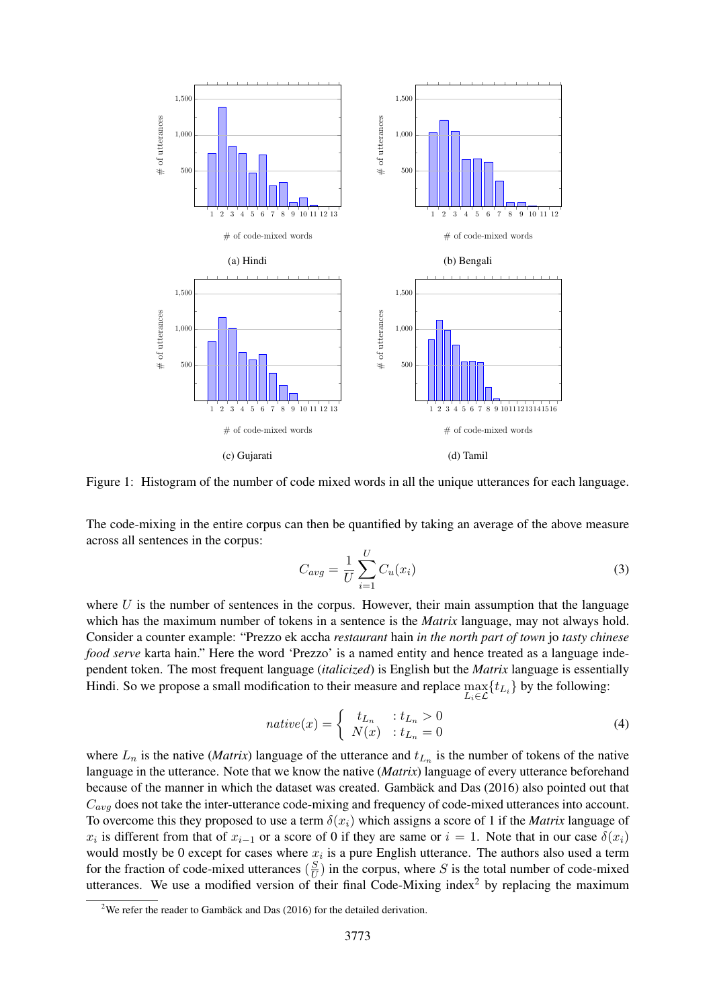

Figure 1: Histogram of the number of code mixed words in all the unique utterances for each language.

The code-mixing in the entire corpus can then be quantified by taking an average of the above measure across all sentences in the corpus:

$$
C_{avg} = \frac{1}{U} \sum_{i=1}^{U} C_u(x_i)
$$
\n(3)

where  $U$  is the number of sentences in the corpus. However, their main assumption that the language which has the maximum number of tokens in a sentence is the *Matrix* language, may not always hold. Consider a counter example: "Prezzo ek accha *restaurant* hain *in the north part of town* jo *tasty chinese food serve* karta hain." Here the word 'Prezzo' is a named entity and hence treated as a language independent token. The most frequent language (*italicized*) is English but the *Matrix* language is essentially Hindi. So we propose a small modification to their measure and replace  $\max_{L_i \in \mathcal{L}} \{t_{L_i}\}$  by the following:

$$
native(x) = \begin{cases} t_{L_n} & \text{: } t_{L_n} > 0\\ N(x) & \text{: } t_{L_n} = 0 \end{cases} \tag{4}
$$

where  $L_n$  is the native (*Matrix*) language of the utterance and  $t_{L_n}$  is the number of tokens of the native language in the utterance. Note that we know the native (*Matrix*) language of every utterance beforehand because of the manner in which the dataset was created. Gamback and Das (2016) also pointed out that  $C_{avg}$  does not take the inter-utterance code-mixing and frequency of code-mixed utterances into account. To overcome this they proposed to use a term  $\delta(x_i)$  which assigns a score of 1 if the *Matrix* language of  $x_i$  is different from that of  $x_{i-1}$  or a score of 0 if they are same or  $i = 1$ . Note that in our case  $\delta(x_i)$ would mostly be 0 except for cases where  $x_i$  is a pure English utterance. The authors also used a term for the fraction of code-mixed utterances  $\left(\frac{S}{U}\right)$  $\frac{S}{U}$ ) in the corpus, where S is the total number of code-mixed utterances. We use a modified version of their final Code-Mixing index<sup>2</sup> by replacing the maximum

<sup>&</sup>lt;sup>2</sup>We refer the reader to Gambäck and Das (2016) for the detailed derivation.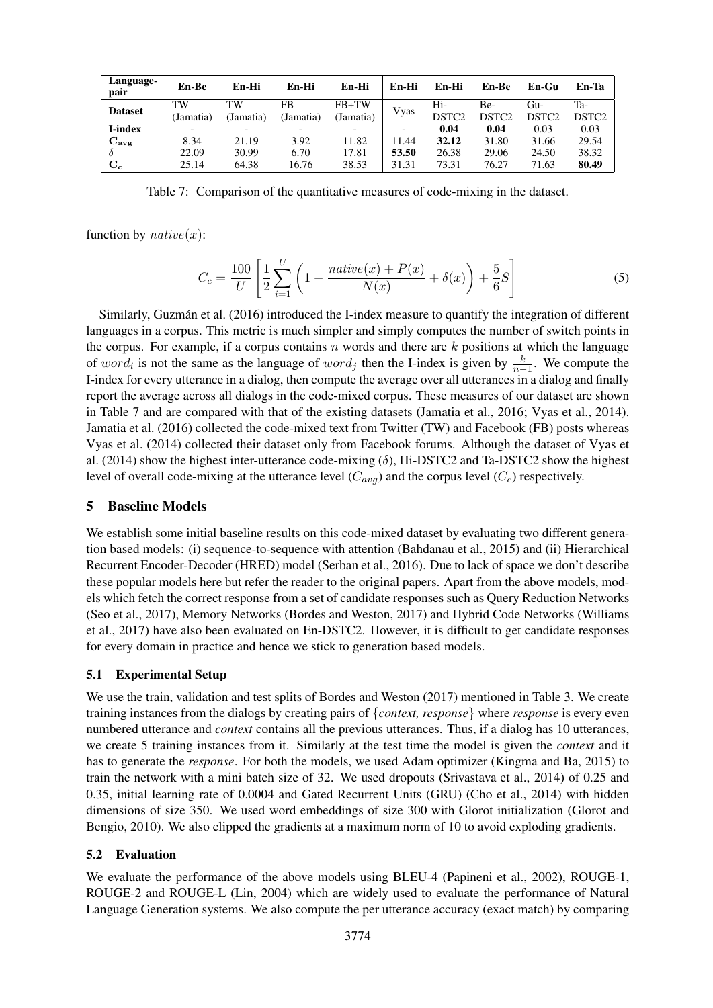| Language-<br>pair | En-Be     | En-Hi     | En-Hi     | En-Hi     | En-Hi | En-Hi             | En-Be             | En-Gu             | En-Ta             |
|-------------------|-----------|-----------|-----------|-----------|-------|-------------------|-------------------|-------------------|-------------------|
| <b>Dataset</b>    | TW        | TW        | FB        | FB+TW     |       | Hi-               | Be-               | Gu-               | Ta-               |
|                   | (Jamatia) | (Jamatia) | (Jamatia) | (Jamatia) | Vyas  | DSTC <sub>2</sub> | DSTC <sub>2</sub> | DSTC <sub>2</sub> | DSTC <sub>2</sub> |
| <b>I-index</b>    | -         |           |           |           |       | 0.04              | 0.04              | 0.03              | 0.03              |
| $C_{\rm avg}$     | 8.34      | 21.19     | 3.92      | 11.82     | 11.44 | 32.12             | 31.80             | 31.66             | 29.54             |
|                   | 22.09     | 30.99     | 6.70      | 17.81     | 53.50 | 26.38             | 29.06             | 24.50             | 38.32             |
| $C_{c}$           | 25.14     | 64.38     | 16.76     | 38.53     | 31.31 | 73.31             | 76.27             | 71.63             | 80.49             |

Table 7: Comparison of the quantitative measures of code-mixing in the dataset.

function by  $native(x)$ :

$$
C_c = \frac{100}{U} \left[ \frac{1}{2} \sum_{i=1}^{U} \left( 1 - \frac{native(x) + P(x)}{N(x)} + \delta(x) \right) + \frac{5}{6} S \right]
$$
(5)

Similarly, Guzman et al. (2016) introduced the I-index measure to quantify the integration of different ´ languages in a corpus. This metric is much simpler and simply computes the number of switch points in the corpus. For example, if a corpus contains  $n$  words and there are  $k$  positions at which the language of word<sub>i</sub> is not the same as the language of word<sub>j</sub> then the I-index is given by  $\frac{k}{n-1}$ . We compute the I-index for every utterance in a dialog, then compute the average over all utterances in a dialog and finally report the average across all dialogs in the code-mixed corpus. These measures of our dataset are shown in Table 7 and are compared with that of the existing datasets (Jamatia et al., 2016; Vyas et al., 2014). Jamatia et al. (2016) collected the code-mixed text from Twitter (TW) and Facebook (FB) posts whereas Vyas et al. (2014) collected their dataset only from Facebook forums. Although the dataset of Vyas et al. (2014) show the highest inter-utterance code-mixing  $(\delta)$ , Hi-DSTC2 and Ta-DSTC2 show the highest level of overall code-mixing at the utterance level  $(C_{avg})$  and the corpus level  $(C_c)$  respectively.

## 5 Baseline Models

We establish some initial baseline results on this code-mixed dataset by evaluating two different generation based models: (i) sequence-to-sequence with attention (Bahdanau et al., 2015) and (ii) Hierarchical Recurrent Encoder-Decoder (HRED) model (Serban et al., 2016). Due to lack of space we don't describe these popular models here but refer the reader to the original papers. Apart from the above models, models which fetch the correct response from a set of candidate responses such as Query Reduction Networks (Seo et al., 2017), Memory Networks (Bordes and Weston, 2017) and Hybrid Code Networks (Williams et al., 2017) have also been evaluated on En-DSTC2. However, it is difficult to get candidate responses for every domain in practice and hence we stick to generation based models.

## 5.1 Experimental Setup

We use the train, validation and test splits of Bordes and Weston (2017) mentioned in Table 3. We create training instances from the dialogs by creating pairs of {*context, response*} where *response* is every even numbered utterance and *context* contains all the previous utterances. Thus, if a dialog has 10 utterances, we create 5 training instances from it. Similarly at the test time the model is given the *context* and it has to generate the *response*. For both the models, we used Adam optimizer (Kingma and Ba, 2015) to train the network with a mini batch size of 32. We used dropouts (Srivastava et al., 2014) of 0.25 and 0.35, initial learning rate of 0.0004 and Gated Recurrent Units (GRU) (Cho et al., 2014) with hidden dimensions of size 350. We used word embeddings of size 300 with Glorot initialization (Glorot and Bengio, 2010). We also clipped the gradients at a maximum norm of 10 to avoid exploding gradients.

## 5.2 Evaluation

We evaluate the performance of the above models using BLEU-4 (Papineni et al., 2002), ROUGE-1, ROUGE-2 and ROUGE-L (Lin, 2004) which are widely used to evaluate the performance of Natural Language Generation systems. We also compute the per utterance accuracy (exact match) by comparing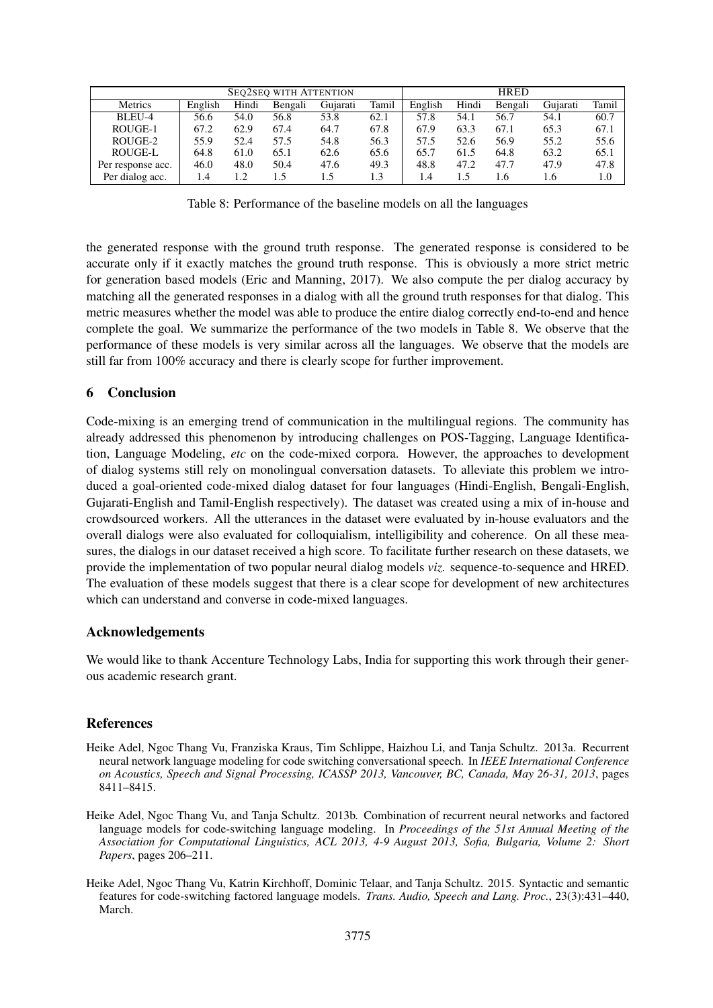| <b>SEQ2SEQ WITH ATTENTION</b> |         |       |         |          |       |         | <b>HRED</b> |         |          |       |
|-------------------------------|---------|-------|---------|----------|-------|---------|-------------|---------|----------|-------|
| Metrics                       | English | Hindi | Bengali | Gujarati | Tamil | English | Hindi       | Bengali | Gujarati | Tamil |
| BLEU-4                        | 56.6    | 54.0  | 56.8    | 53.8     | 62.1  | 57.8    | 54.1        | 56.7    | 54.1     | 60.7  |
| ROUGE-1                       | 67.2    | 62.9  | 67.4    | 64.7     | 67.8  | 67.9    | 63.3        | 67.1    | 65.3     | 67.1  |
| ROUGE-2                       | 55.9    | 52.4  | 57.5    | 54.8     | 56.3  | 57.5    | 52.6        | 56.9    | 55.2     | 55.6  |
| ROUGE-L                       | 64.8    | 61.0  | 65.1    | 62.6     | 65.6  | 65.7    | 61.5        | 64.8    | 63.2     | 65.1  |
| Per response acc.             | 46.0    | 48.0  | 50.4    | 47.6     | 49.3  | 48.8    | 47.2        | 47.7    | 47.9     | 47.8  |
| Per dialog acc.               | 1.4     |       | 1.5     | 1.5      | 1.3   | 1.4     | 1.5         | 1.6     | 1.6      | 1.0   |

Table 8: Performance of the baseline models on all the languages

the generated response with the ground truth response. The generated response is considered to be accurate only if it exactly matches the ground truth response. This is obviously a more strict metric for generation based models (Eric and Manning, 2017). We also compute the per dialog accuracy by matching all the generated responses in a dialog with all the ground truth responses for that dialog. This metric measures whether the model was able to produce the entire dialog correctly end-to-end and hence complete the goal. We summarize the performance of the two models in Table 8. We observe that the performance of these models is very similar across all the languages. We observe that the models are still far from 100% accuracy and there is clearly scope for further improvement.

## 6 Conclusion

Code-mixing is an emerging trend of communication in the multilingual regions. The community has already addressed this phenomenon by introducing challenges on POS-Tagging, Language Identification, Language Modeling, *etc* on the code-mixed corpora. However, the approaches to development of dialog systems still rely on monolingual conversation datasets. To alleviate this problem we introduced a goal-oriented code-mixed dialog dataset for four languages (Hindi-English, Bengali-English, Gujarati-English and Tamil-English respectively). The dataset was created using a mix of in-house and crowdsourced workers. All the utterances in the dataset were evaluated by in-house evaluators and the overall dialogs were also evaluated for colloquialism, intelligibility and coherence. On all these measures, the dialogs in our dataset received a high score. To facilitate further research on these datasets, we provide the implementation of two popular neural dialog models *viz.* sequence-to-sequence and HRED. The evaluation of these models suggest that there is a clear scope for development of new architectures which can understand and converse in code-mixed languages.

## Acknowledgements

We would like to thank Accenture Technology Labs, India for supporting this work through their generous academic research grant.

## References

- Heike Adel, Ngoc Thang Vu, Franziska Kraus, Tim Schlippe, Haizhou Li, and Tanja Schultz. 2013a. Recurrent neural network language modeling for code switching conversational speech. In *IEEE International Conference on Acoustics, Speech and Signal Processing, ICASSP 2013, Vancouver, BC, Canada, May 26-31, 2013*, pages 8411–8415.
- Heike Adel, Ngoc Thang Vu, and Tanja Schultz. 2013b. Combination of recurrent neural networks and factored language models for code-switching language modeling. In *Proceedings of the 51st Annual Meeting of the Association for Computational Linguistics, ACL 2013, 4-9 August 2013, Sofia, Bulgaria, Volume 2: Short Papers*, pages 206–211.
- Heike Adel, Ngoc Thang Vu, Katrin Kirchhoff, Dominic Telaar, and Tanja Schultz. 2015. Syntactic and semantic features for code-switching factored language models. *Trans. Audio, Speech and Lang. Proc.*, 23(3):431–440, March.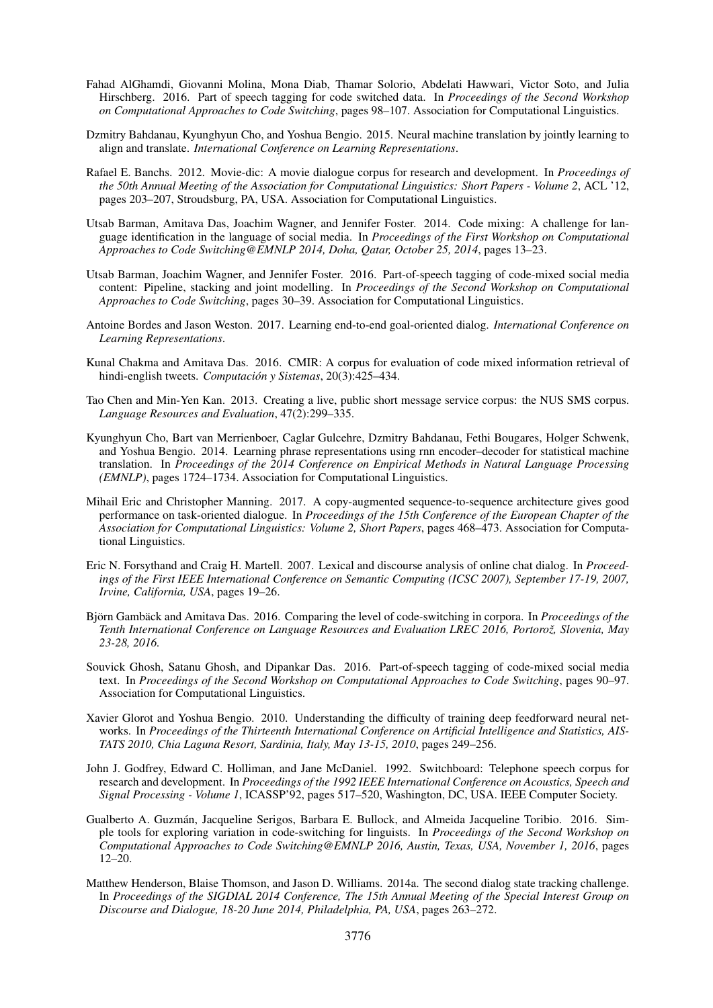- Fahad AlGhamdi, Giovanni Molina, Mona Diab, Thamar Solorio, Abdelati Hawwari, Victor Soto, and Julia Hirschberg. 2016. Part of speech tagging for code switched data. In *Proceedings of the Second Workshop on Computational Approaches to Code Switching*, pages 98–107. Association for Computational Linguistics.
- Dzmitry Bahdanau, Kyunghyun Cho, and Yoshua Bengio. 2015. Neural machine translation by jointly learning to align and translate. *International Conference on Learning Representations*.
- Rafael E. Banchs. 2012. Movie-dic: A movie dialogue corpus for research and development. In *Proceedings of the 50th Annual Meeting of the Association for Computational Linguistics: Short Papers - Volume 2*, ACL '12, pages 203–207, Stroudsburg, PA, USA. Association for Computational Linguistics.
- Utsab Barman, Amitava Das, Joachim Wagner, and Jennifer Foster. 2014. Code mixing: A challenge for language identification in the language of social media. In *Proceedings of the First Workshop on Computational Approaches to Code Switching@EMNLP 2014, Doha, Qatar, October 25, 2014*, pages 13–23.
- Utsab Barman, Joachim Wagner, and Jennifer Foster. 2016. Part-of-speech tagging of code-mixed social media content: Pipeline, stacking and joint modelling. In *Proceedings of the Second Workshop on Computational Approaches to Code Switching*, pages 30–39. Association for Computational Linguistics.
- Antoine Bordes and Jason Weston. 2017. Learning end-to-end goal-oriented dialog. *International Conference on Learning Representations*.
- Kunal Chakma and Amitava Das. 2016. CMIR: A corpus for evaluation of code mixed information retrieval of hindi-english tweets. *Computación y Sistemas*, 20(3):425–434.
- Tao Chen and Min-Yen Kan. 2013. Creating a live, public short message service corpus: the NUS SMS corpus. *Language Resources and Evaluation*, 47(2):299–335.
- Kyunghyun Cho, Bart van Merrienboer, Caglar Gulcehre, Dzmitry Bahdanau, Fethi Bougares, Holger Schwenk, and Yoshua Bengio. 2014. Learning phrase representations using rnn encoder–decoder for statistical machine translation. In *Proceedings of the 2014 Conference on Empirical Methods in Natural Language Processing (EMNLP)*, pages 1724–1734. Association for Computational Linguistics.
- Mihail Eric and Christopher Manning. 2017. A copy-augmented sequence-to-sequence architecture gives good performance on task-oriented dialogue. In *Proceedings of the 15th Conference of the European Chapter of the Association for Computational Linguistics: Volume 2, Short Papers*, pages 468–473. Association for Computational Linguistics.
- Eric N. Forsythand and Craig H. Martell. 2007. Lexical and discourse analysis of online chat dialog. In *Proceedings of the First IEEE International Conference on Semantic Computing (ICSC 2007), September 17-19, 2007, Irvine, California, USA*, pages 19–26.
- Björn Gambäck and Amitava Das. 2016. Comparing the level of code-switching in corpora. In *Proceedings of the Tenth International Conference on Language Resources and Evaluation LREC 2016, Portoroz, Slovenia, May ˇ 23-28, 2016.*
- Souvick Ghosh, Satanu Ghosh, and Dipankar Das. 2016. Part-of-speech tagging of code-mixed social media text. In *Proceedings of the Second Workshop on Computational Approaches to Code Switching*, pages 90–97. Association for Computational Linguistics.
- Xavier Glorot and Yoshua Bengio. 2010. Understanding the difficulty of training deep feedforward neural networks. In *Proceedings of the Thirteenth International Conference on Artificial Intelligence and Statistics, AIS-TATS 2010, Chia Laguna Resort, Sardinia, Italy, May 13-15, 2010*, pages 249–256.
- John J. Godfrey, Edward C. Holliman, and Jane McDaniel. 1992. Switchboard: Telephone speech corpus for research and development. In *Proceedings of the 1992 IEEE International Conference on Acoustics, Speech and Signal Processing - Volume 1*, ICASSP'92, pages 517–520, Washington, DC, USA. IEEE Computer Society.
- Gualberto A. Guzmán, Jacqueline Serigos, Barbara E. Bullock, and Almeida Jacqueline Toribio. 2016. Simple tools for exploring variation in code-switching for linguists. In *Proceedings of the Second Workshop on Computational Approaches to Code Switching@EMNLP 2016, Austin, Texas, USA, November 1, 2016*, pages 12–20.
- Matthew Henderson, Blaise Thomson, and Jason D. Williams. 2014a. The second dialog state tracking challenge. In *Proceedings of the SIGDIAL 2014 Conference, The 15th Annual Meeting of the Special Interest Group on Discourse and Dialogue, 18-20 June 2014, Philadelphia, PA, USA*, pages 263–272.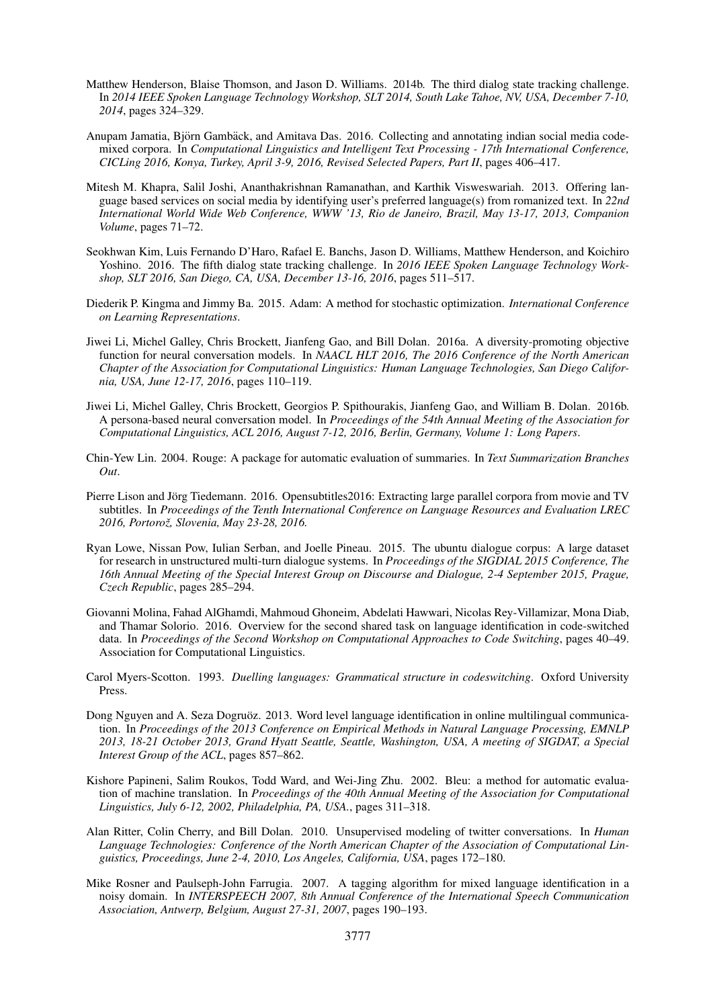- Matthew Henderson, Blaise Thomson, and Jason D. Williams. 2014b. The third dialog state tracking challenge. In *2014 IEEE Spoken Language Technology Workshop, SLT 2014, South Lake Tahoe, NV, USA, December 7-10, 2014*, pages 324–329.
- Anupam Jamatia, Björn Gambäck, and Amitava Das. 2016. Collecting and annotating indian social media codemixed corpora. In *Computational Linguistics and Intelligent Text Processing - 17th International Conference, CICLing 2016, Konya, Turkey, April 3-9, 2016, Revised Selected Papers, Part II*, pages 406–417.
- Mitesh M. Khapra, Salil Joshi, Ananthakrishnan Ramanathan, and Karthik Visweswariah. 2013. Offering language based services on social media by identifying user's preferred language(s) from romanized text. In *22nd International World Wide Web Conference, WWW '13, Rio de Janeiro, Brazil, May 13-17, 2013, Companion Volume*, pages 71–72.
- Seokhwan Kim, Luis Fernando D'Haro, Rafael E. Banchs, Jason D. Williams, Matthew Henderson, and Koichiro Yoshino. 2016. The fifth dialog state tracking challenge. In *2016 IEEE Spoken Language Technology Workshop, SLT 2016, San Diego, CA, USA, December 13-16, 2016*, pages 511–517.
- Diederik P. Kingma and Jimmy Ba. 2015. Adam: A method for stochastic optimization. *International Conference on Learning Representations*.
- Jiwei Li, Michel Galley, Chris Brockett, Jianfeng Gao, and Bill Dolan. 2016a. A diversity-promoting objective function for neural conversation models. In *NAACL HLT 2016, The 2016 Conference of the North American Chapter of the Association for Computational Linguistics: Human Language Technologies, San Diego California, USA, June 12-17, 2016*, pages 110–119.
- Jiwei Li, Michel Galley, Chris Brockett, Georgios P. Spithourakis, Jianfeng Gao, and William B. Dolan. 2016b. A persona-based neural conversation model. In *Proceedings of the 54th Annual Meeting of the Association for Computational Linguistics, ACL 2016, August 7-12, 2016, Berlin, Germany, Volume 1: Long Papers*.
- Chin-Yew Lin. 2004. Rouge: A package for automatic evaluation of summaries. In *Text Summarization Branches Out*.
- Pierre Lison and Jörg Tiedemann. 2016. Opensubtitles 2016: Extracting large parallel corpora from movie and TV subtitles. In *Proceedings of the Tenth International Conference on Language Resources and Evaluation LREC 2016, Portoroz, Slovenia, May 23-28, 2016. ˇ*
- Ryan Lowe, Nissan Pow, Iulian Serban, and Joelle Pineau. 2015. The ubuntu dialogue corpus: A large dataset for research in unstructured multi-turn dialogue systems. In *Proceedings of the SIGDIAL 2015 Conference, The 16th Annual Meeting of the Special Interest Group on Discourse and Dialogue, 2-4 September 2015, Prague, Czech Republic*, pages 285–294.
- Giovanni Molina, Fahad AlGhamdi, Mahmoud Ghoneim, Abdelati Hawwari, Nicolas Rey-Villamizar, Mona Diab, and Thamar Solorio. 2016. Overview for the second shared task on language identification in code-switched data. In *Proceedings of the Second Workshop on Computational Approaches to Code Switching*, pages 40–49. Association for Computational Linguistics.
- Carol Myers-Scotton. 1993. *Duelling languages: Grammatical structure in codeswitching*. Oxford University Press.
- Dong Nguyen and A. Seza Dogruoz. 2013. Word level language identification in online multilingual communica- ¨ tion. In *Proceedings of the 2013 Conference on Empirical Methods in Natural Language Processing, EMNLP 2013, 18-21 October 2013, Grand Hyatt Seattle, Seattle, Washington, USA, A meeting of SIGDAT, a Special Interest Group of the ACL*, pages 857–862.
- Kishore Papineni, Salim Roukos, Todd Ward, and Wei-Jing Zhu. 2002. Bleu: a method for automatic evaluation of machine translation. In *Proceedings of the 40th Annual Meeting of the Association for Computational Linguistics, July 6-12, 2002, Philadelphia, PA, USA.*, pages 311–318.
- Alan Ritter, Colin Cherry, and Bill Dolan. 2010. Unsupervised modeling of twitter conversations. In *Human Language Technologies: Conference of the North American Chapter of the Association of Computational Linguistics, Proceedings, June 2-4, 2010, Los Angeles, California, USA*, pages 172–180.
- Mike Rosner and Paulseph-John Farrugia. 2007. A tagging algorithm for mixed language identification in a noisy domain. In *INTERSPEECH 2007, 8th Annual Conference of the International Speech Communication Association, Antwerp, Belgium, August 27-31, 2007*, pages 190–193.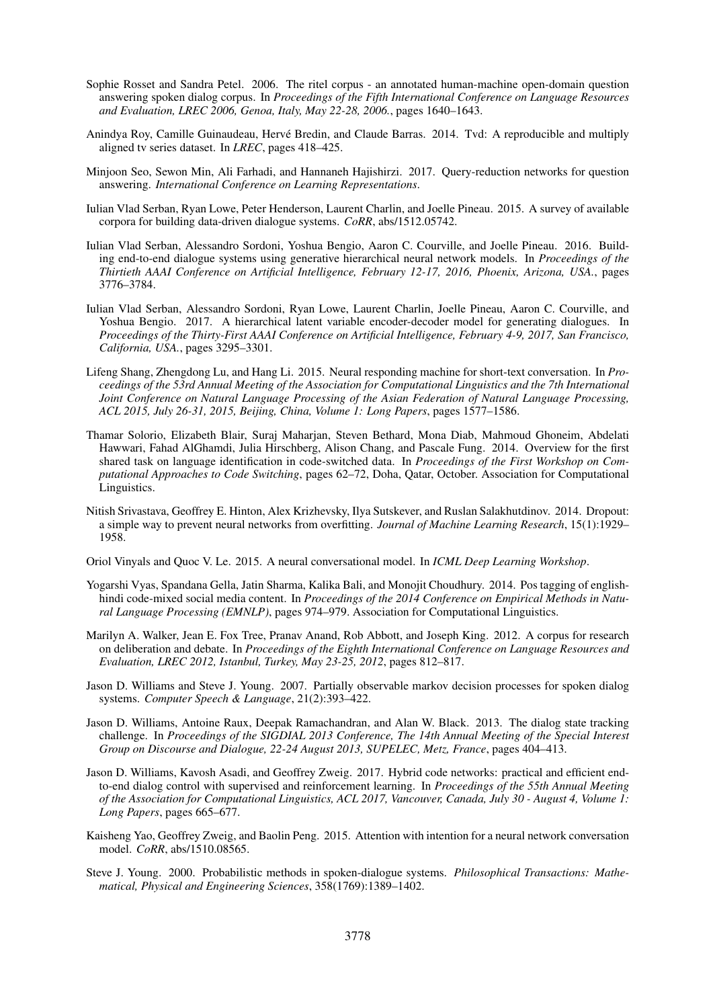- Sophie Rosset and Sandra Petel. 2006. The ritel corpus an annotated human-machine open-domain question answering spoken dialog corpus. In *Proceedings of the Fifth International Conference on Language Resources and Evaluation, LREC 2006, Genoa, Italy, May 22-28, 2006.*, pages 1640–1643.
- Anindya Roy, Camille Guinaudeau, Herve Bredin, and Claude Barras. 2014. Tvd: A reproducible and multiply ´ aligned tv series dataset. In *LREC*, pages 418–425.
- Minjoon Seo, Sewon Min, Ali Farhadi, and Hannaneh Hajishirzi. 2017. Query-reduction networks for question answering. *International Conference on Learning Representations*.
- Iulian Vlad Serban, Ryan Lowe, Peter Henderson, Laurent Charlin, and Joelle Pineau. 2015. A survey of available corpora for building data-driven dialogue systems. *CoRR*, abs/1512.05742.
- Iulian Vlad Serban, Alessandro Sordoni, Yoshua Bengio, Aaron C. Courville, and Joelle Pineau. 2016. Building end-to-end dialogue systems using generative hierarchical neural network models. In *Proceedings of the Thirtieth AAAI Conference on Artificial Intelligence, February 12-17, 2016, Phoenix, Arizona, USA.*, pages 3776–3784.
- Iulian Vlad Serban, Alessandro Sordoni, Ryan Lowe, Laurent Charlin, Joelle Pineau, Aaron C. Courville, and Yoshua Bengio. 2017. A hierarchical latent variable encoder-decoder model for generating dialogues. In *Proceedings of the Thirty-First AAAI Conference on Artificial Intelligence, February 4-9, 2017, San Francisco, California, USA.*, pages 3295–3301.
- Lifeng Shang, Zhengdong Lu, and Hang Li. 2015. Neural responding machine for short-text conversation. In *Proceedings of the 53rd Annual Meeting of the Association for Computational Linguistics and the 7th International Joint Conference on Natural Language Processing of the Asian Federation of Natural Language Processing, ACL 2015, July 26-31, 2015, Beijing, China, Volume 1: Long Papers*, pages 1577–1586.
- Thamar Solorio, Elizabeth Blair, Suraj Maharjan, Steven Bethard, Mona Diab, Mahmoud Ghoneim, Abdelati Hawwari, Fahad AlGhamdi, Julia Hirschberg, Alison Chang, and Pascale Fung. 2014. Overview for the first shared task on language identification in code-switched data. In *Proceedings of the First Workshop on Computational Approaches to Code Switching*, pages 62–72, Doha, Qatar, October. Association for Computational Linguistics.
- Nitish Srivastava, Geoffrey E. Hinton, Alex Krizhevsky, Ilya Sutskever, and Ruslan Salakhutdinov. 2014. Dropout: a simple way to prevent neural networks from overfitting. *Journal of Machine Learning Research*, 15(1):1929– 1958.
- Oriol Vinyals and Quoc V. Le. 2015. A neural conversational model. In *ICML Deep Learning Workshop*.
- Yogarshi Vyas, Spandana Gella, Jatin Sharma, Kalika Bali, and Monojit Choudhury. 2014. Pos tagging of englishhindi code-mixed social media content. In *Proceedings of the 2014 Conference on Empirical Methods in Natural Language Processing (EMNLP)*, pages 974–979. Association for Computational Linguistics.
- Marilyn A. Walker, Jean E. Fox Tree, Pranav Anand, Rob Abbott, and Joseph King. 2012. A corpus for research on deliberation and debate. In *Proceedings of the Eighth International Conference on Language Resources and Evaluation, LREC 2012, Istanbul, Turkey, May 23-25, 2012*, pages 812–817.
- Jason D. Williams and Steve J. Young. 2007. Partially observable markov decision processes for spoken dialog systems. *Computer Speech & Language*, 21(2):393–422.
- Jason D. Williams, Antoine Raux, Deepak Ramachandran, and Alan W. Black. 2013. The dialog state tracking challenge. In *Proceedings of the SIGDIAL 2013 Conference, The 14th Annual Meeting of the Special Interest Group on Discourse and Dialogue, 22-24 August 2013, SUPELEC, Metz, France*, pages 404–413.
- Jason D. Williams, Kavosh Asadi, and Geoffrey Zweig. 2017. Hybrid code networks: practical and efficient endto-end dialog control with supervised and reinforcement learning. In *Proceedings of the 55th Annual Meeting of the Association for Computational Linguistics, ACL 2017, Vancouver, Canada, July 30 - August 4, Volume 1: Long Papers*, pages 665–677.
- Kaisheng Yao, Geoffrey Zweig, and Baolin Peng. 2015. Attention with intention for a neural network conversation model. *CoRR*, abs/1510.08565.
- Steve J. Young. 2000. Probabilistic methods in spoken-dialogue systems. *Philosophical Transactions: Mathematical, Physical and Engineering Sciences*, 358(1769):1389–1402.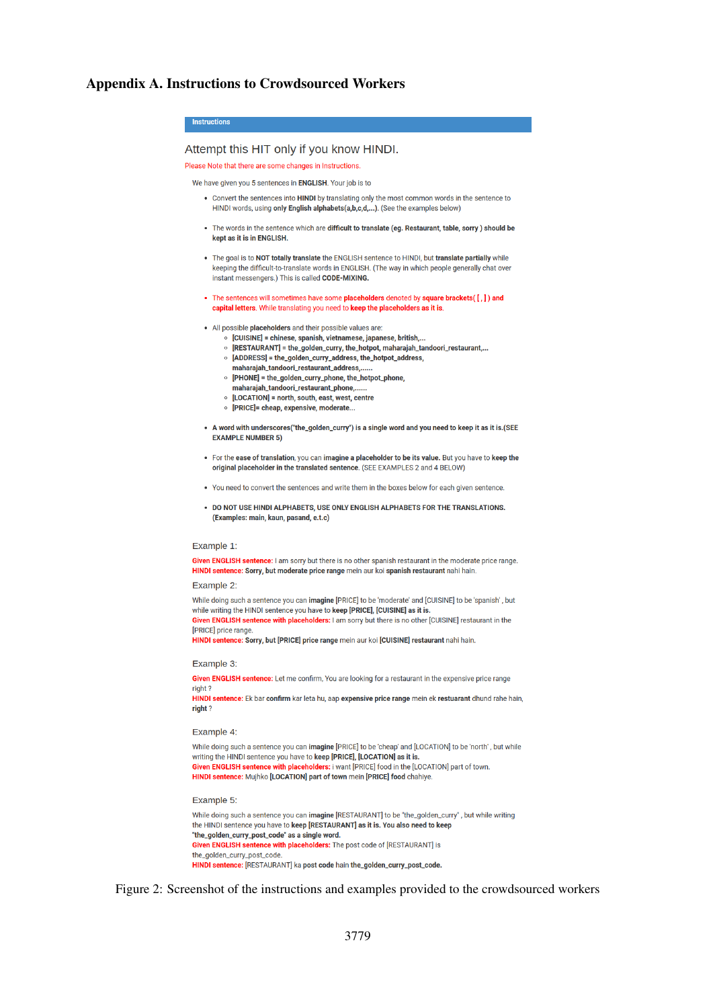#### Appendix A. Instructions to Crowdsourced Workers



Given ENGLISH sentence with placeholders: The post code of [RESTAURANT] is the golden curry post code HINDI sentence: [RESTAURANT] ka post code hain the\_golden\_curry\_post\_code.

Figure 2: Screenshot of the instructions and examples provided to the crowdsourced workers